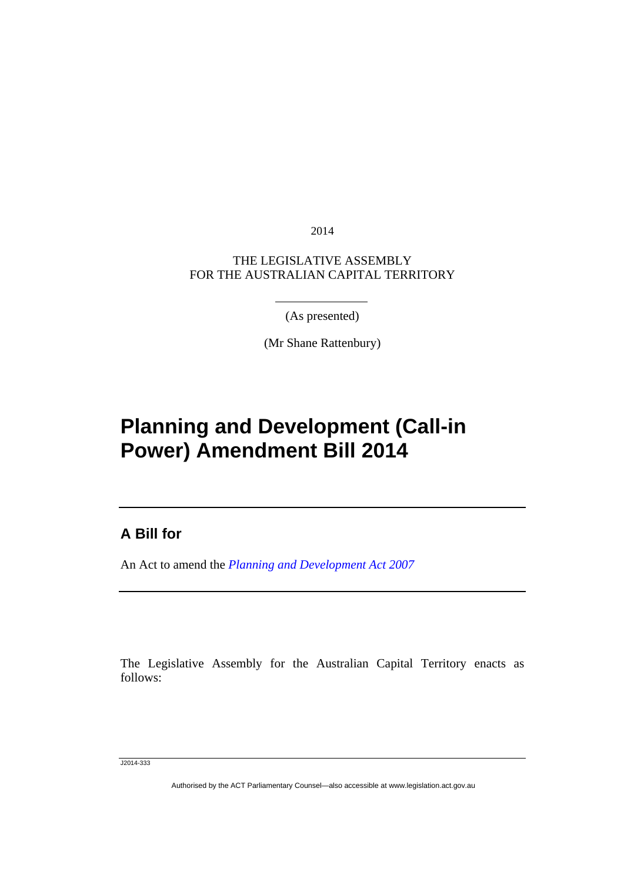2014

THE LEGISLATIVE ASSEMBLY FOR THE AUSTRALIAN CAPITAL TERRITORY

(As presented)

(Mr Shane Rattenbury)

## **Planning and Development (Call-in Power) Amendment Bill 2014**

## **A Bill for**

l

An Act to amend the *[Planning and Development Act 2007](http://www.legislation.act.gov.au/a/2007-24)*

The Legislative Assembly for the Australian Capital Territory enacts as follows:

J2014-333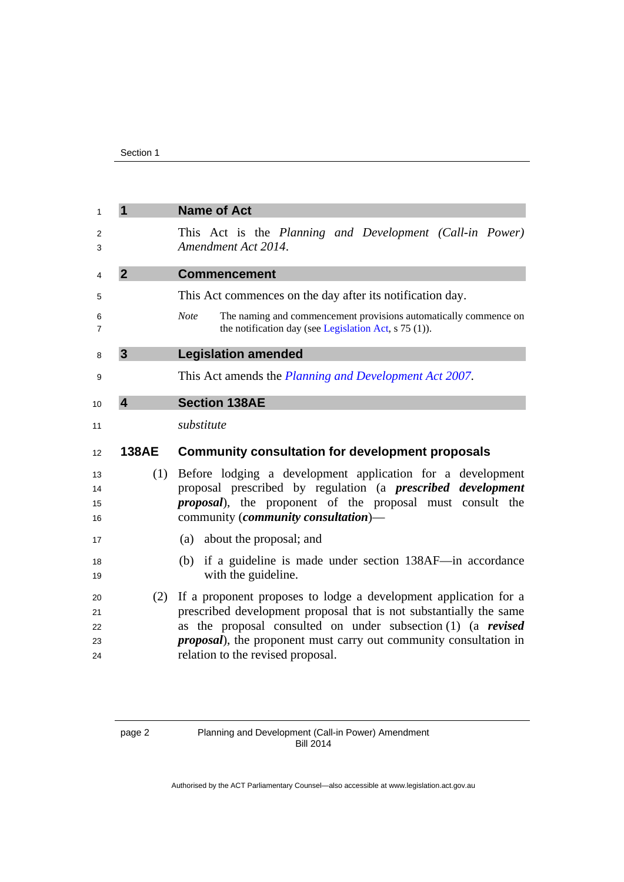| 1                   | 1              | <b>Name of Act</b>                                                                                                                          |
|---------------------|----------------|---------------------------------------------------------------------------------------------------------------------------------------------|
| 2<br>3              |                | This Act is the Planning and Development (Call-in Power)<br>Amendment Act 2014.                                                             |
| 4                   | $\overline{2}$ | <b>Commencement</b>                                                                                                                         |
| 5                   |                | This Act commences on the day after its notification day.                                                                                   |
| 6<br>$\overline{7}$ |                | <b>Note</b><br>The naming and commencement provisions automatically commence on<br>the notification day (see Legislation Act, s 75 (1)).    |
| 8                   | $\mathbf{3}$   | <b>Legislation amended</b>                                                                                                                  |
| 9                   |                | This Act amends the <i>Planning and Development Act 2007</i> .                                                                              |
| 10                  | $\overline{4}$ | <b>Section 138AE</b>                                                                                                                        |
| 11                  |                | substitute                                                                                                                                  |
|                     |                |                                                                                                                                             |
| 12                  | <b>138AE</b>   | <b>Community consultation for development proposals</b>                                                                                     |
| 13                  | (1)            | Before lodging a development application for a development                                                                                  |
| 14                  |                | proposal prescribed by regulation (a <i>prescribed development</i>                                                                          |
| 15<br>16            |                | <i>proposal</i> ), the proponent of the proposal must consult the<br>community (community consultation)-                                    |
| 17                  |                | (a) about the proposal; and                                                                                                                 |
| 18                  |                | (b) if a guideline is made under section 138AF-in accordance                                                                                |
| 19                  |                | with the guideline.                                                                                                                         |
| 20                  | (2)            | If a proponent proposes to lodge a development application for a                                                                            |
| 21                  |                | prescribed development proposal that is not substantially the same                                                                          |
| 22<br>23            |                | as the proposal consulted on under subsection $(1)$ (a revised<br><i>proposal</i> ), the proponent must carry out community consultation in |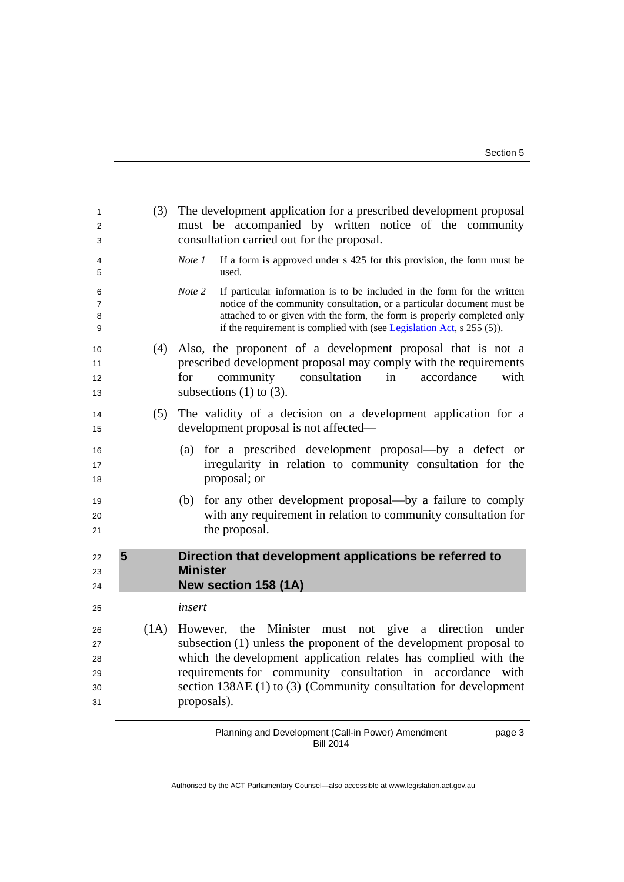page 3

| 1<br>2<br>3                      | (3)  | The development application for a prescribed development proposal<br>must be accompanied by written notice of the community<br>consultation carried out for the proposal.                                                                                                                                                                          |
|----------------------------------|------|----------------------------------------------------------------------------------------------------------------------------------------------------------------------------------------------------------------------------------------------------------------------------------------------------------------------------------------------------|
| 4<br>5                           |      | If a form is approved under s 425 for this provision, the form must be<br>Note 1<br>used.                                                                                                                                                                                                                                                          |
| 6<br>7<br>8<br>9                 |      | Note 2<br>If particular information is to be included in the form for the written<br>notice of the community consultation, or a particular document must be<br>attached to or given with the form, the form is properly completed only<br>if the requirement is complied with (see Legislation Act, s 255 (5)).                                    |
| 10<br>11<br>12<br>13             | (4)  | Also, the proponent of a development proposal that is not a<br>prescribed development proposal may comply with the requirements<br>community consultation<br>for<br>in<br>accordance<br>with<br>subsections $(1)$ to $(3)$ .                                                                                                                       |
| 14<br>15                         | (5)  | The validity of a decision on a development application for a<br>development proposal is not affected—                                                                                                                                                                                                                                             |
| 16<br>17<br>18                   |      | for a prescribed development proposal-by a defect or<br>(a)<br>irregularity in relation to community consultation for the<br>proposal; or                                                                                                                                                                                                          |
| 19<br>20<br>21                   |      | for any other development proposal—by a failure to comply<br>(b)<br>with any requirement in relation to community consultation for<br>the proposal.                                                                                                                                                                                                |
| 22<br>23<br>24                   | 5    | Direction that development applications be referred to<br><b>Minister</b><br>New section 158 (1A)                                                                                                                                                                                                                                                  |
| 25                               |      | insert                                                                                                                                                                                                                                                                                                                                             |
| 26<br>27<br>28<br>29<br>30<br>31 | (1A) | However, the Minister must not give a direction under<br>subsection (1) unless the proponent of the development proposal to<br>which the development application relates has complied with the<br>requirements for community consultation in accordance with<br>section $138AE(1)$ to $(3)$ (Community consultation for development<br>proposals). |

Planning and Development (Call-in Power) Amendment Bill 2014